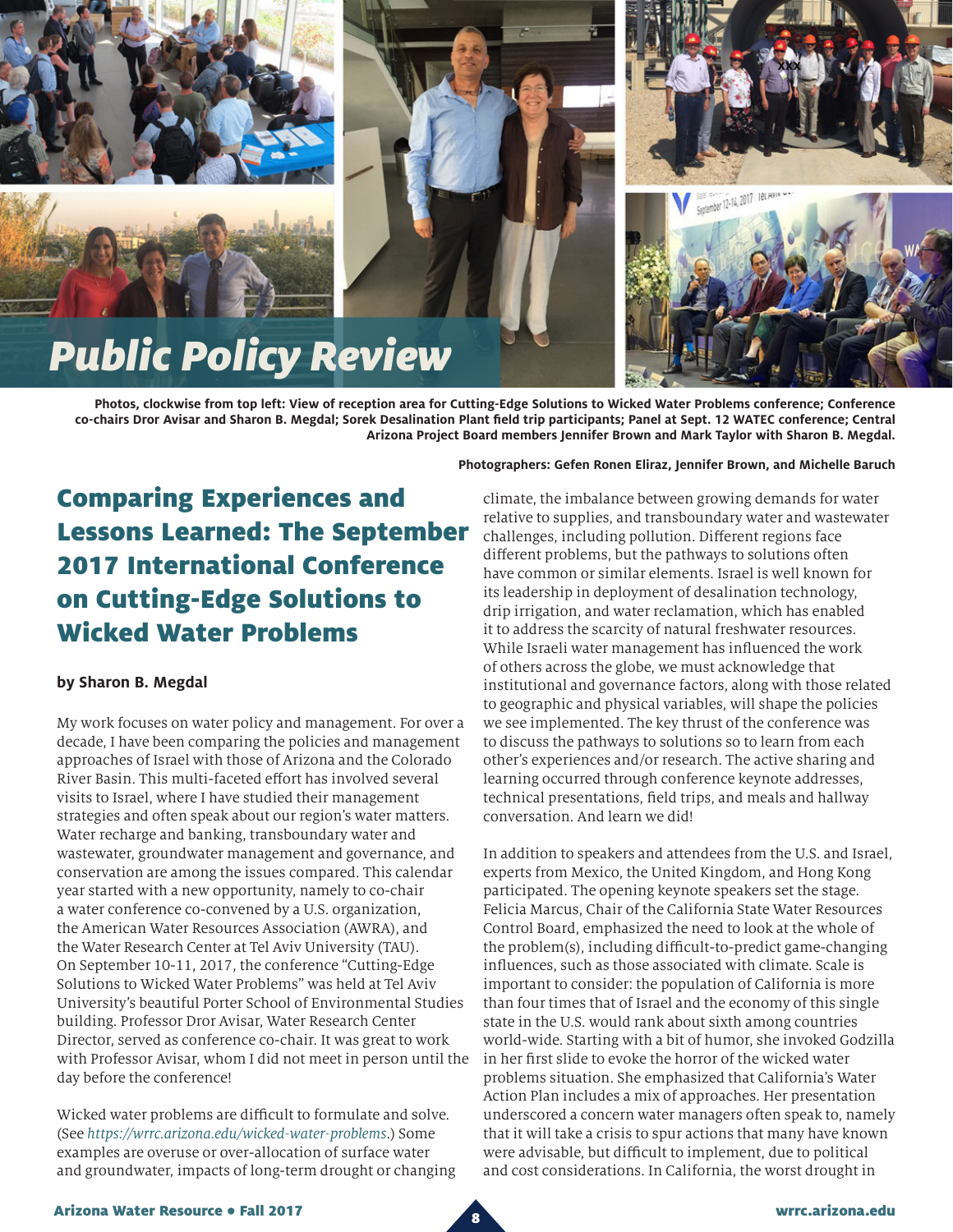





**Photos, clockwise from top left: View of reception area for Cutting-Edge Solutions to Wicked Water Problems conference; Conference co-chairs Dror Avisar and Sharon B. Megdal; Sorek Desalination Plant field trip participants; Panel at Sept. 12 WATEC conference; Central Arizona Project Board members Jennifer Brown and Mark Taylor with Sharon B. Megdal.**

## Comparing Experiences and Lessons Learned: The September 2017 International Conference on Cutting-Edge Solutions to Wicked Water Problems

## **by Sharon B. Megdal**

My work focuses on water policy and management. For over a decade, I have been comparing the policies and management approaches of Israel with those of Arizona and the Colorado River Basin. This multi-faceted effort has involved several visits to Israel, where I have studied their management strategies and often speak about our region's water matters. Water recharge and banking, transboundary water and wastewater, groundwater management and governance, and conservation are among the issues compared. This calendar year started with a new opportunity, namely to co-chair a water conference co-convened by a U.S. organization, the American Water Resources Association (AWRA), and the Water Research Center at Tel Aviv University (TAU). On September 10-11, 2017, the conference "Cutting-Edge Solutions to Wicked Water Problems" was held at Tel Aviv University's beautiful Porter School of Environmental Studies building. Professor Dror Avisar, Water Research Center Director, served as conference co-chair. It was great to work with Professor Avisar, whom I did not meet in person until the day before the conference!

Wicked water problems are difficult to formulate and solve. (See *<https://wrrc.arizona.edu/wicked-water-problems>*.) Some examples are overuse or over-allocation of surface water and groundwater, impacts of long-term drought or changing

## **Photographers: Gefen Ronen Eliraz, Jennifer Brown, and Michelle Baruch**

climate, the imbalance between growing demands for water relative to supplies, and transboundary water and wastewater challenges, including pollution. Different regions face different problems, but the pathways to solutions often have common or similar elements. Israel is well known for its leadership in deployment of desalination technology, drip irrigation, and water reclamation, which has enabled it to address the scarcity of natural freshwater resources. While Israeli water management has influenced the work of others across the globe, we must acknowledge that institutional and governance factors, along with those related to geographic and physical variables, will shape the policies we see implemented. The key thrust of the conference was to discuss the pathways to solutions so to learn from each other's experiences and/or research. The active sharing and learning occurred through conference keynote addresses, technical presentations, field trips, and meals and hallway conversation. And learn we did!

In addition to speakers and attendees from the U.S. and Israel, experts from Mexico, the United Kingdom, and Hong Kong participated. The opening keynote speakers set the stage. Felicia Marcus, Chair of the California State Water Resources Control Board, emphasized the need to look at the whole of the problem(s), including difficult-to-predict game-changing influences, such as those associated with climate. Scale is important to consider: the population of California is more than four times that of Israel and the economy of this single state in the U.S. would rank about sixth among countries world-wide. Starting with a bit of humor, she invoked Godzilla in her first slide to evoke the horror of the wicked water problems situation. She emphasized that California's Water Action Plan includes a mix of approaches. Her presentation underscored a concern water managers often speak to, namely that it will take a crisis to spur actions that many have known were advisable, but difficult to implement, due to political and cost considerations. In California, the worst drought in